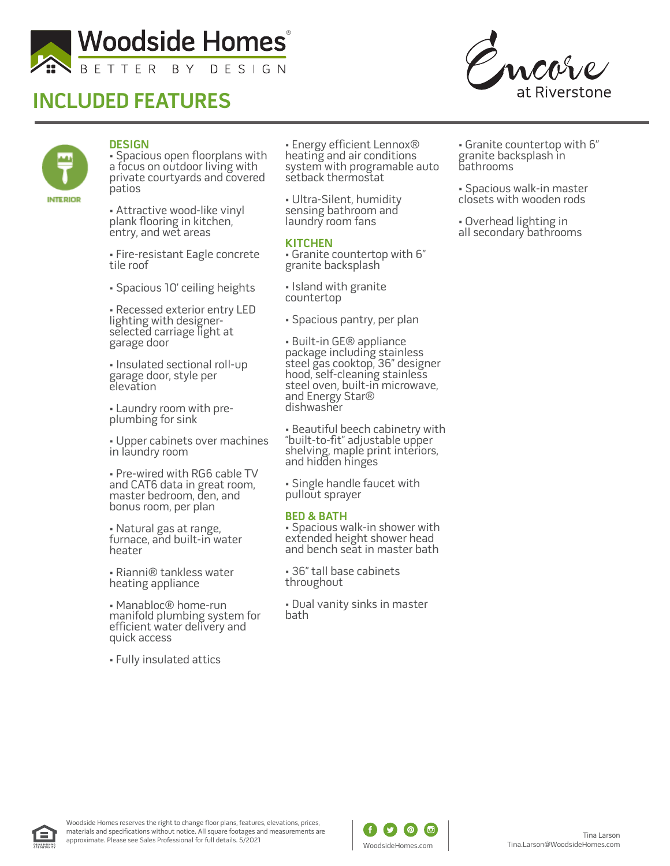

# **INCLUDED FEATURES**



![](_page_0_Picture_3.jpeg)

### **DESIGN**

• Spacious open floorplans with a focus on outdoor living with private courtyards and covered patios

• Attractive wood-like vinyl plank flooring in kitchen, entry, and wet areas

• Fire-resistant Eagle concrete tile roof

• Spacious 10' ceiling heights

• Recessed exterior entry LED lighting with designerselected carriage light at garage door

• Insulated sectional roll-up garage door, style per elevation

• Laundry room with preplumbing for sink

• Upper cabinets over machines in laundry room

• Pre-wired with RG6 cable TV and CAT6 data in great room, master bedroom, den, and bonus room, per plan

• Natural gas at range, furnace, and built-in water heater

• Rianni® tankless water heating appliance

• Manabloc® home-run manifold plumbing system for efficient water delivery and quick access

• Fully insulated attics

• Energy efficient Lennox® heating and air conditions system with programable auto setback thermostat

• Ultra-Silent, humidity sensing bathroom and laundry room fans

#### **KITCHEN**

• Granite countertop with 6" granite backsplash

• Island with granite countertop

• Spacious pantry, per plan

• Built-in GE® appliance package including stainless steel gas cooktop, 36" designer hood, self-cleaning stainless steel oven, built-in microwave, and Energy Star® dishwasher

• Beautiful beech cabinetry with "built-to-fit" adjustable upper shelving, maple print interiors, and hidden hinges

• Single handle faucet with pullout sprayer

#### **BED & BATH**

• Spacious walk-in shower with extended height shower head and bench seat in master bath

• 36" tall base cabinets throughout

• Dual vanity sinks in master bath

• Granite countertop with 6" granite backsplash in bathrooms

• Spacious walk-in master closets with wooden rods

• Overhead lighting in all secondary bathrooms

![](_page_0_Picture_34.jpeg)

![](_page_0_Picture_36.jpeg)